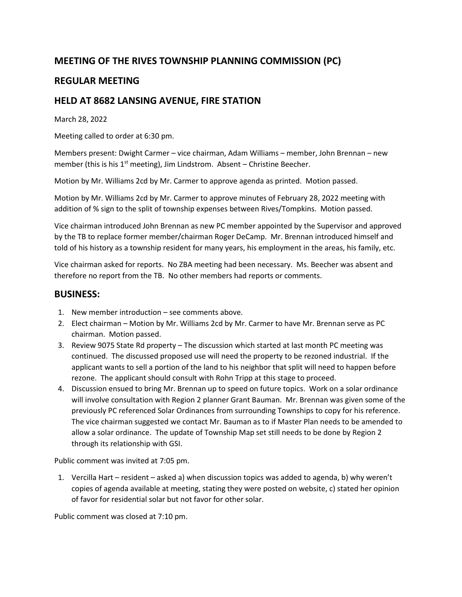## **MEETING OF THE RIVES TOWNSHIP PLANNING COMMISSION (PC)**

## **REGULAR MEETING**

## **HELD AT 8682 LANSING AVENUE, FIRE STATION**

March 28, 2022

Meeting called to order at 6:30 pm.

Members present: Dwight Carmer – vice chairman, Adam Williams – member, John Brennan – new member (this is his  $1<sup>st</sup>$  meeting), Jim Lindstrom. Absent – Christine Beecher.

Motion by Mr. Williams 2cd by Mr. Carmer to approve agenda as printed. Motion passed.

Motion by Mr. Williams 2cd by Mr. Carmer to approve minutes of February 28, 2022 meeting with addition of % sign to the split of township expenses between Rives/Tompkins. Motion passed.

Vice chairman introduced John Brennan as new PC member appointed by the Supervisor and approved by the TB to replace former member/chairman Roger DeCamp. Mr. Brennan introduced himself and told of his history as a township resident for many years, his employment in the areas, his family, etc.

Vice chairman asked for reports. No ZBA meeting had been necessary. Ms. Beecher was absent and therefore no report from the TB. No other members had reports or comments.

## **BUSINESS:**

- 1. New member introduction see comments above.
- 2. Elect chairman Motion by Mr. Williams 2cd by Mr. Carmer to have Mr. Brennan serve as PC chairman. Motion passed.
- 3. Review 9075 State Rd property The discussion which started at last month PC meeting was continued. The discussed proposed use will need the property to be rezoned industrial. If the applicant wants to sell a portion of the land to his neighbor that split will need to happen before rezone. The applicant should consult with Rohn Tripp at this stage to proceed.
- 4. Discussion ensued to bring Mr. Brennan up to speed on future topics. Work on a solar ordinance will involve consultation with Region 2 planner Grant Bauman. Mr. Brennan was given some of the previously PC referenced Solar Ordinances from surrounding Townships to copy for his reference. The vice chairman suggested we contact Mr. Bauman as to if Master Plan needs to be amended to allow a solar ordinance. The update of Township Map set still needs to be done by Region 2 through its relationship with GSI.

Public comment was invited at 7:05 pm.

1. Vercilla Hart – resident – asked a) when discussion topics was added to agenda, b) why weren't copies of agenda available at meeting, stating they were posted on website, c) stated her opinion of favor for residential solar but not favor for other solar.

Public comment was closed at 7:10 pm.